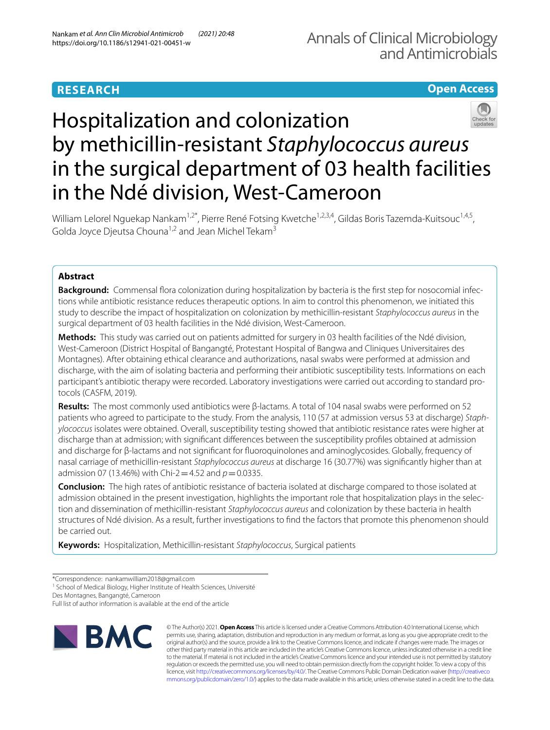# **RESEARCH**

# **Open Access**



William Lelorel Nguekap Nankam<sup>1,2\*</sup>, Pierre René Fotsing Kwetche<sup>1,2,3,4</sup>, Gildas Boris Tazemda-Kuitsouc<sup>1,4,5</sup>, Golda Joyce Djeutsa Chouna<sup>1,2</sup> and Jean Michel Tekam<sup>3</sup>

## **Abstract**

**Background:** Commensal flora colonization during hospitalization by bacteria is the first step for nosocomial infections while antibiotic resistance reduces therapeutic options. In aim to control this phenomenon, we initiated this study to describe the impact of hospitalization on colonization by methicillin-resistant *Staphylococcus aureus* in the surgical department of 03 health facilities in the Ndé division, West-Cameroon.

**Methods:** This study was carried out on patients admitted for surgery in 03 health facilities of the Ndé division, West-Cameroon (District Hospital of Bangangté, Protestant Hospital of Bangwa and Cliniques Universitaires des Montagnes). After obtaining ethical clearance and authorizations, nasal swabs were performed at admission and discharge, with the aim of isolating bacteria and performing their antibiotic susceptibility tests. Informations on each participant's antibiotic therapy were recorded. Laboratory investigations were carried out according to standard protocols (CASFM, 2019).

**Results:** The most commonly used antibiotics were β-lactams. A total of 104 nasal swabs were performed on 52 patients who agreed to participate to the study. From the analysis, 110 (57 at admission versus 53 at discharge) *Staphylococcus* isolates were obtained. Overall, susceptibility testing showed that antibiotic resistance rates were higher at discharge than at admission; with signifcant diferences between the susceptibility profles obtained at admission and discharge for β-lactams and not signifcant for fuoroquinolones and aminoglycosides. Globally, frequency of nasal carriage of methicillin-resistant *Staphylococcus aureus* at discharge 16 (30.77%) was signifcantly higher than at admission 07 (13.46%) with Chi-2 = 4.52 and  $p = 0.0335$ .

**Conclusion:** The high rates of antibiotic resistance of bacteria isolated at discharge compared to those isolated at admission obtained in the present investigation, highlights the important role that hospitalization plays in the selec‑ tion and dissemination of methicillin-resistant *Staphylococcus aureus* and colonization by these bacteria in health structures of Ndé division. As a result, further investigations to fnd the factors that promote this phenomenon should be carried out.

**Keywords:** Hospitalization, Methicillin-resistant *Staphylococcus*, Surgical patients

Des Montagnes, Bangangté, Cameroon

Full list of author information is available at the end of the article



© The Author(s) 2021. **Open Access** This article is licensed under a Creative Commons Attribution 4.0 International License, which permits use, sharing, adaptation, distribution and reproduction in any medium or format, as long as you give appropriate credit to the original author(s) and the source, provide a link to the Creative Commons licence, and indicate if changes were made. The images or other third party material in this article are included in the article's Creative Commons licence, unless indicated otherwise in a credit line to the material. If material is not included in the article's Creative Commons licence and your intended use is not permitted by statutory regulation or exceeds the permitted use, you will need to obtain permission directly from the copyright holder. To view a copy of this licence, visit [http://creativecommons.org/licenses/by/4.0/.](http://creativecommons.org/licenses/by/4.0/) The Creative Commons Public Domain Dedication waiver ([http://creativeco](http://creativecommons.org/publicdomain/zero/1.0/) [mmons.org/publicdomain/zero/1.0/](http://creativecommons.org/publicdomain/zero/1.0/)) applies to the data made available in this article, unless otherwise stated in a credit line to the data.

<sup>\*</sup>Correspondence: nankamwilliam2018@gmail.com

<sup>&</sup>lt;sup>1</sup> School of Medical Biology, Higher Institute of Health Sciences, Université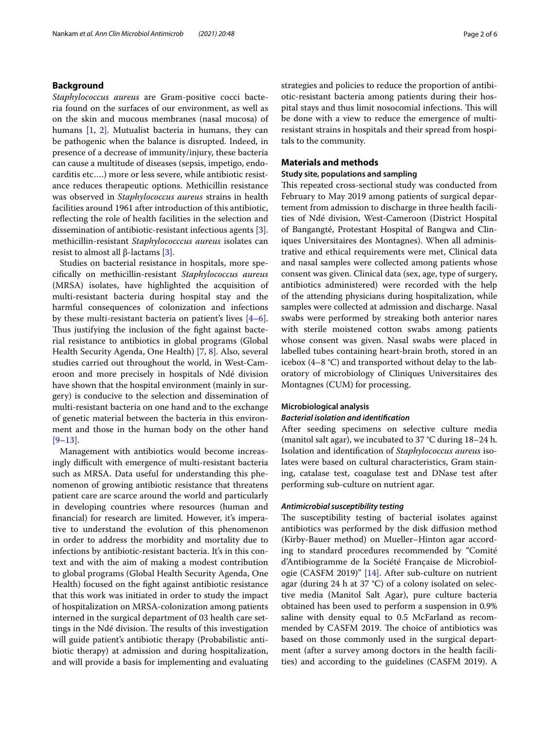## **Background**

*Staphylococcus aureus* are Gram-positive cocci bacteria found on the surfaces of our environment, as well as on the skin and mucous membranes (nasal mucosa) of humans [[1,](#page-5-0) [2\]](#page-5-1). Mutualist bacteria in humans, they can be pathogenic when the balance is disrupted. Indeed, in presence of a decrease of immunity/injury, these bacteria can cause a multitude of diseases (sepsis, impetigo, endocarditis etc….) more or less severe, while antibiotic resistance reduces therapeutic options. Methicillin resistance was observed in *Staphylococcus aureus* strains in health facilities around 1961 after introduction of this antibiotic, refecting the role of health facilities in the selection and dissemination of antibiotic-resistant infectious agents [\[3](#page-5-2)]. methicillin-resistant *Staphylococccus aureus* isolates can resist to almost all β-lactams  $[3]$  $[3]$ .

Studies on bacterial resistance in hospitals, more specifcally on methicillin-resistant *Staphylococcus aureus* (MRSA) isolates, have highlighted the acquisition of multi-resistant bacteria during hospital stay and the harmful consequences of colonization and infections by these multi-resistant bacteria on patient's lives [\[4](#page-5-3)[–6](#page-5-4)]. Thus justifying the inclusion of the fight against bacterial resistance to antibiotics in global programs (Global Health Security Agenda, One Health) [\[7](#page-5-5), [8\]](#page-5-6). Also, several studies carried out throughout the world, in West-Cameroon and more precisely in hospitals of Ndé division have shown that the hospital environment (mainly in surgery) is conducive to the selection and dissemination of multi-resistant bacteria on one hand and to the exchange of genetic material between the bacteria in this environment and those in the human body on the other hand [[9–](#page-5-7)[13\]](#page-5-8).

Management with antibiotics would become increasingly difficult with emergence of multi-resistant bacteria such as MRSA. Data useful for understanding this phenomenon of growing antibiotic resistance that threatens patient care are scarce around the world and particularly in developing countries where resources (human and fnancial) for research are limited. However, it's imperative to understand the evolution of this phenomenon in order to address the morbidity and mortality due to infections by antibiotic-resistant bacteria. It's in this context and with the aim of making a modest contribution to global programs (Global Health Security Agenda, One Health) focused on the fght against antibiotic resistance that this work was initiated in order to study the impact of hospitalization on MRSA-colonization among patients interned in the surgical department of 03 health care settings in the Ndé division. The results of this investigation will guide patient's antibiotic therapy (Probabilistic antibiotic therapy) at admission and during hospitalization, and will provide a basis for implementing and evaluating strategies and policies to reduce the proportion of antibiotic-resistant bacteria among patients during their hospital stays and thus limit nosocomial infections. This will be done with a view to reduce the emergence of multiresistant strains in hospitals and their spread from hospitals to the community.

## **Materials and methods**

## **Study site, populations and sampling**

This repeated cross-sectional study was conducted from February to May 2019 among patients of surgical departement from admission to discharge in three health facilities of Ndé division, West-Cameroon (District Hospital of Bangangté, Protestant Hospital of Bangwa and Cliniques Universitaires des Montagnes). When all administrative and ethical requirements were met, Clinical data and nasal samples were collected among patients whose consent was given. Clinical data (sex, age, type of surgery, antibiotics administered) were recorded with the help of the attending physicians during hospitalization, while samples were collected at admission and discharge. Nasal swabs were performed by streaking both anterior nares with sterile moistened cotton swabs among patients whose consent was given. Nasal swabs were placed in labelled tubes containing heart-brain broth, stored in an icebox (4–8 °C) and transported without delay to the laboratory of microbiology of Cliniques Universitaires des Montagnes (CUM) for processing.

## **Microbiological analysis**

## *Bacterial isolation and identifcation*

After seeding specimens on selective culture media (manitol salt agar), we incubated to 37 °C during 18–24 h. Isolation and identifcation of *Staphylococcus aureus* isolates were based on cultural characteristics, Gram staining, catalase test, coagulase test and DNase test after performing sub-culture on nutrient agar.

## *Antimicrobial susceptibility testing*

The susceptibility testing of bacterial isolates against antibiotics was performed by the disk difusion method (Kirby-Bauer method) on Mueller–Hinton agar according to standard procedures recommended by "Comité d'Antibiogramme de la Société Française de Microbiologie (CASFM 2019)" [[14\]](#page-5-9). After sub-culture on nutrient agar (during 24 h at 37 °C) of a colony isolated on selective media (Manitol Salt Agar), pure culture bacteria obtained has been used to perform a suspension in 0.9% saline with density equal to 0.5 McFarland as recommended by CASFM 2019. The choice of antibiotics was based on those commonly used in the surgical department (after a survey among doctors in the health facilities) and according to the guidelines (CASFM 2019). A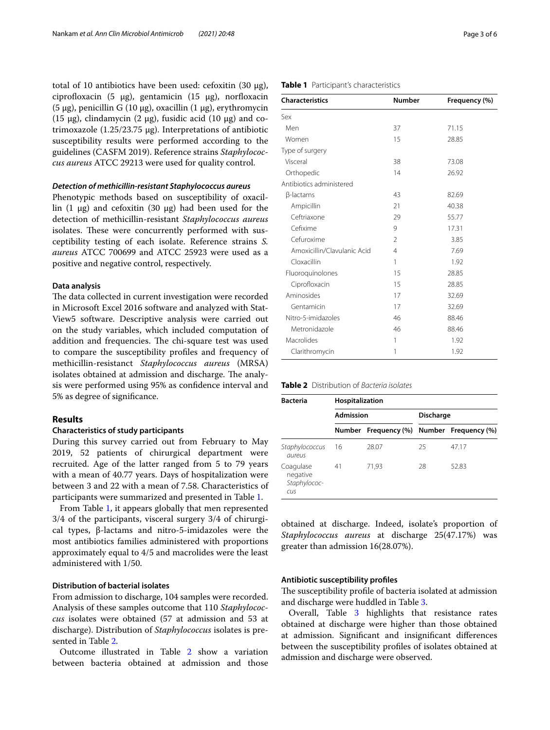total of 10 antibiotics have been used: cefoxitin (30 μg), ciprofloxacin (5  $\mu$ g), gentamicin (15  $\mu$ g), norfloxacin (5 μg), penicillin G (10 μg), oxacillin (1 μg), erythromycin (15 μg), clindamycin (2 μg), fusidic acid (10 μg) and cotrimoxazole (1.25/23.75 μg). Interpretations of antibiotic susceptibility results were performed according to the guidelines (CASFM 2019). Reference strains *Staphylococcus aureus* ATCC 29213 were used for quality control.

## *Detection of methicillin‑resistant Staphylococcus aureus*

Phenotypic methods based on susceptibility of oxacillin  $(1 \mu g)$  and cefoxitin  $(30 \mu g)$  had been used for the detection of methicillin-resistant *Staphylococcus aureus* isolates. These were concurrently performed with susceptibility testing of each isolate. Reference strains *S. aureus* ATCC 700699 and ATCC 25923 were used as a positive and negative control, respectively.

## **Data analysis**

The data collected in current investigation were recorded in Microsoft Excel 2016 software and analyzed with Stat-View5 software. Descriptive analysis were carried out on the study variables, which included computation of addition and frequencies. The chi-square test was used to compare the susceptibility profles and frequency of methicillin-resistanct *Staphylococcus aureus* (MRSA) isolates obtained at admission and discharge. The analysis were performed using 95% as confdence interval and 5% as degree of signifcance.

## **Results**

## **Characteristics of study participants**

During this survey carried out from February to May 2019, 52 patients of chirurgical department were recruited. Age of the latter ranged from 5 to 79 years with a mean of 40.77 years. Days of hospitalization were between 3 and 22 with a mean of 7.58. Characteristics of participants were summarized and presented in Table [1.](#page-2-0)

From Table [1](#page-2-0), it appears globally that men represented 3/4 of the participants, visceral surgery 3/4 of chirurgical types, β-lactams and nitro-5-imidazoles were the most antibiotics families administered with proportions approximately equal to 4/5 and macrolides were the least administered with 1/50.

## **Distribution of bacterial isolates**

From admission to discharge, 104 samples were recorded. Analysis of these samples outcome that 110 *Staphylococcus* isolates were obtained (57 at admission and 53 at discharge). Distribution of *Staphylococcus* isolates is presented in Table [2.](#page-2-1)

Outcome illustrated in Table [2](#page-2-1) show a variation between bacteria obtained at admission and those

## <span id="page-2-0"></span>**Table 1** Participant's characteristics

| <b>Characteristics</b>      | <b>Number</b>  | Frequency (%) |
|-----------------------------|----------------|---------------|
| Sex                         |                |               |
| Men                         | 37             | 71.15         |
| Women                       | 15             | 28.85         |
| Type of surgery             |                |               |
| Visceral                    | 38             | 73.08         |
| Orthopedic                  | 14             | 26.92         |
| Antibiotics administered    |                |               |
| β-lactams                   | 43             | 82.69         |
| Ampicillin                  | 21             | 40.38         |
| Ceftriaxone                 | 29             | 55.77         |
| Cefixime                    | 9              | 17.31         |
| Cefuroxime                  | $\mathfrak{D}$ | 3.85          |
| Amoxicillin/Clavulanic Acid | $\overline{4}$ | 7.69          |
| Cloxacillin                 | 1              | 1.92          |
| Fluoroquinolones            | 15             | 28.85         |
| Ciprofloxacin               | 15             | 28.85         |
| Aminosides                  | 17             | 32.69         |
| Gentamicin                  | 17             | 32.69         |
| Nitro-5-imidazoles          | 46             | 88.46         |
| Metronidazole               | 46             | 88.46         |
| Macrolides                  | 1              | 1.92          |
| Clarithromycin              | 1              | 1.92          |

<span id="page-2-1"></span>

| <b>Table 2</b> Distribution of Bacteria isolates |  |
|--------------------------------------------------|--|
|--------------------------------------------------|--|

| <b>Bacteria</b>                              | Hospitalization  |                                           |                  |       |  |
|----------------------------------------------|------------------|-------------------------------------------|------------------|-------|--|
|                                              | <b>Admission</b> |                                           | <b>Discharge</b> |       |  |
|                                              |                  | Number Frequency (%) Number Frequency (%) |                  |       |  |
| Staphylococcus<br>aureus                     | 16               | 28.07                                     | 25               | 4717  |  |
| Coagulase<br>negative<br>Staphylococ-<br>cus | 41               | 71,93                                     | 28               | 52.83 |  |

obtained at discharge. Indeed, isolate's proportion of *Staphylococcus aureus* at discharge 25(47.17%) was greater than admission 16(28.07%).

## **Antibiotic susceptibility profles**

The susceptibility profile of bacteria isolated at admission and discharge were huddled in Table [3.](#page-3-0)

Overall, Table [3](#page-3-0) highlights that resistance rates obtained at discharge were higher than those obtained at admission. Signifcant and insignifcant diferences between the susceptibility profles of isolates obtained at admission and discharge were observed.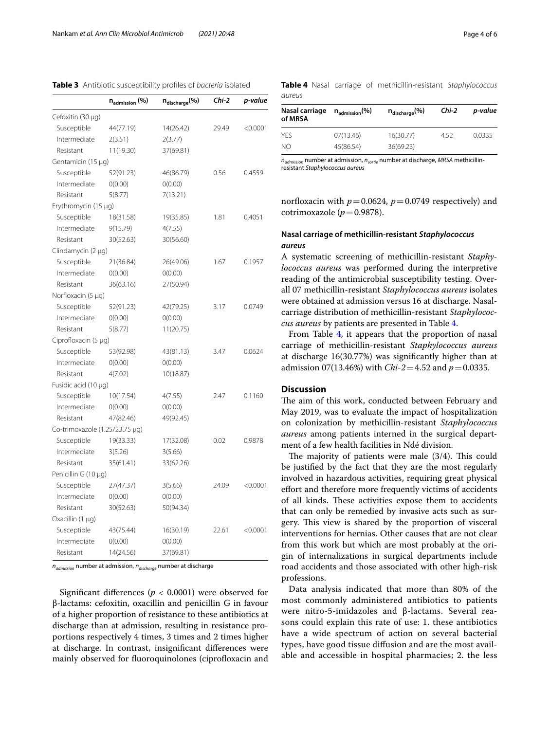<span id="page-3-0"></span>

|                                | $n_{\text{admission}}$ (%) | n <sub>discharge</sub> (%) | Chi-2 | p-value    |
|--------------------------------|----------------------------|----------------------------|-------|------------|
| Cefoxitin (30 µg)              |                            |                            |       |            |
| Susceptible                    | 44(77.19)                  | 14(26.42)                  | 29.49 | $<$ 0.0001 |
| Intermediate                   | 2(3.51)                    | 2(3.77)                    |       |            |
| Resistant                      | 11(19.30)                  | 37(69.81)                  |       |            |
| Gentamicin (15 µg)             |                            |                            |       |            |
| Susceptible                    | 52(91.23)                  | 46(86.79)                  | 0.56  | 0.4559     |
| Intermediate                   | 0(0.00)                    | 0(0.00)                    |       |            |
| Resistant                      | 5(8.77)                    | 7(13.21)                   |       |            |
| Erythromycin (15 µg)           |                            |                            |       |            |
| Susceptible                    | 18(31.58)                  | 19(35.85)                  | 1.81  | 0.4051     |
| Intermediate                   | 9(15.79)                   | 4(7.55)                    |       |            |
| Resistant                      | 30(52.63)                  | 30(56.60)                  |       |            |
| Clindamycin (2 µg)             |                            |                            |       |            |
| Susceptible                    | 21(36.84)                  | 26(49.06)                  | 1.67  | 0.1957     |
| Intermediate                   | 0(0.00)                    | 0(0.00)                    |       |            |
| Resistant                      | 36(63.16)                  | 27(50.94)                  |       |            |
| Norfloxacin $(5 \mu g)$        |                            |                            |       |            |
| Susceptible                    | 52(91.23)                  | 42(79.25)                  | 3.17  | 0.0749     |
| Intermediate                   | 0(0.00)                    | O(0.00)                    |       |            |
| Resistant                      | 5(8.77)                    | 11(20.75)                  |       |            |
| Ciprofloxacin (5 µg)           |                            |                            |       |            |
| Susceptible                    | 53(92.98)                  | 43(81.13)                  | 3.47  | 0.0624     |
| Intermediate                   | 0(0.00)                    | O(0.00)                    |       |            |
| Resistant                      | 4(7.02)                    | 10(18.87)                  |       |            |
| Fusidic acid (10 µg)           |                            |                            |       |            |
| Susceptible                    | 10(17.54)                  | 4(7.55)                    | 2.47  | 0.1160     |
| Intermediate                   | 0(0.00)                    | O(0.00)                    |       |            |
| Resistant                      | 47(82.46)                  | 49(92.45)                  |       |            |
| Co-trimoxazole (1.25/23.75 µg) |                            |                            |       |            |
| Susceptible                    | 19(33.33)                  | 17(32.08)                  | 0.02  | 0.9878     |
| Intermediate                   | 3(5.26)                    | 3(5.66)                    |       |            |
| Resistant                      | 35(61.41)                  | 33(62.26)                  |       |            |
| Penicillin G (10 µg)           |                            |                            |       |            |
| Susceptible                    | 27(47.37)                  | 3(5.66)                    | 24.09 | < 0.0001   |
| Intermediate                   | 0(0.00)                    | O(0.00)                    |       |            |
| Resistant                      | 30(52.63)                  | 50(94.34)                  |       |            |
| Oxacillin (1 µg)               |                            |                            |       |            |
| Susceptible                    | 43(75.44)                  | 16(30.19)                  | 22.61 | < 0.0001   |
| Intermediate                   | 0(0.00)                    | O(0.00)                    |       |            |
| Resistant                      | 14(24.56)                  | 37(69.81)                  |       |            |

*n<sub>admission</sub>* number at admission,  $n_{discharge}$  number at discharge

Significant differences ( $p < 0.0001$ ) were observed for β-lactams: cefoxitin, oxacillin and penicillin G in favour of a higher proportion of resistance to these antibiotics at discharge than at admission, resulting in resistance proportions respectively 4 times, 3 times and 2 times higher at discharge. In contrast, insignifcant diferences were mainly observed for fluoroquinolones (ciprofloxacin and

<span id="page-3-1"></span>

|        |  | Table 4 Nasal carriage of methicillin-resistant Staphylococcus |  |
|--------|--|----------------------------------------------------------------|--|
| aureus |  |                                                                |  |

| Nasal carriage<br>of MRSA | $\mathsf{n}_{\mathsf{admission}}(\%)$ | $n_{discharae}$ $(\%)$ | Chi-2 | p-value |  |
|---------------------------|---------------------------------------|------------------------|-------|---------|--|
| YFS                       | 07(13.46)                             | 16(30.77)              | 4.52  | 0.0335  |  |
| NΟ                        | 45(86.54)                             | 36(69.23)              |       |         |  |

*nadmission* number at admission, *nsortie* number at discharge, *MRSA* methicillinresistant *Staphylococcus aureus*

norfloxacin with  $p=0.0624$ ,  $p=0.0749$  respectively) and cotrimoxazole ( $p = 0.9878$ ).

## **Nasal carriage of methicillin‑resistant** *Staphylococcus aureus*

A systematic screening of methicillin-resistant *Staphylococcus aureus* was performed during the interpretive reading of the antimicrobial susceptibility testing. Overall 07 methicillin-resistant *Staphylococcus aureus* isolates were obtained at admission versus 16 at discharge. Nasalcarriage distribution of methicillin-resistant *Staphylococcus aureus* by patients are presented in Table [4](#page-3-1).

From Table [4](#page-3-1), it appears that the proportion of nasal carriage of methicillin-resistant *Staphylococcus aureus* at discharge 16(30.77%) was signifcantly higher than at admission 07(13.46%) with *Chi-2*=4.52 and *p*=0.0335.

## **Discussion**

The aim of this work, conducted between February and May 2019, was to evaluate the impact of hospitalization on colonization by methicillin-resistant *Staphylococcus aureus* among patients interned in the surgical department of a few health facilities in Ndé division.

The majority of patients were male  $(3/4)$ . This could be justifed by the fact that they are the most regularly involved in hazardous activities, requiring great physical efort and therefore more frequently victims of accidents of all kinds. These activities expose them to accidents that can only be remedied by invasive acts such as surgery. This view is shared by the proportion of visceral interventions for hernias. Other causes that are not clear from this work but which are most probably at the origin of internalizations in surgical departments include road accidents and those associated with other high-risk professions.

Data analysis indicated that more than 80% of the most commonly administered antibiotics to patients were nitro-5-imidazoles and β-lactams. Several reasons could explain this rate of use: 1. these antibiotics have a wide spectrum of action on several bacterial types, have good tissue difusion and are the most available and accessible in hospital pharmacies; 2. the less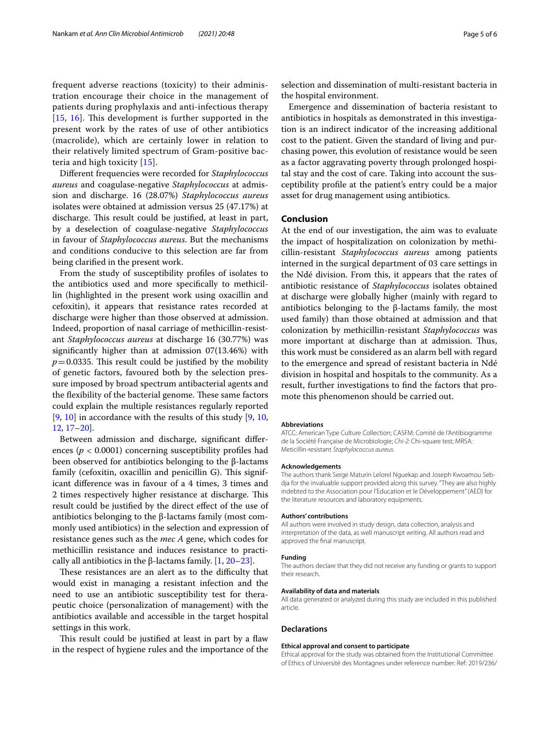frequent adverse reactions (toxicity) to their administration encourage their choice in the management of patients during prophylaxis and anti-infectious therapy  $[15, 16]$  $[15, 16]$  $[15, 16]$  $[15, 16]$  $[15, 16]$ . This development is further supported in the present work by the rates of use of other antibiotics (macrolide), which are certainly lower in relation to their relatively limited spectrum of Gram-positive bacteria and high toxicity [[15](#page-5-10)].

Diferent frequencies were recorded for *Staphylococcus aureus* and coagulase-negative *Staphylococcus* at admission and discharge. 16 (28.07%) *Staphylococcus aureus* isolates were obtained at admission versus 25 (47.17%) at discharge. This result could be justified, at least in part, by a deselection of coagulase-negative *Staphylococcus* in favour of *Staphylococcus aureus*. But the mechanisms and conditions conducive to this selection are far from being clarifed in the present work.

From the study of susceptibility profles of isolates to the antibiotics used and more specifcally to methicillin (highlighted in the present work using oxacillin and cefoxitin), it appears that resistance rates recorded at discharge were higher than those observed at admission. Indeed, proportion of nasal carriage of methicillin-resistant *Staphylococcus aureus* at discharge 16 (30.77%) was signifcantly higher than at admission 07(13.46%) with  $p=0.0335$ . This result could be justified by the mobility of genetic factors, favoured both by the selection pressure imposed by broad spectrum antibacterial agents and the flexibility of the bacterial genome. These same factors could explain the multiple resistances regularly reported [[9,](#page-5-7) [10\]](#page-5-12) in accordance with the results of this study [[9](#page-5-7), [10](#page-5-12), [12,](#page-5-13) [17–](#page-5-14)[20\]](#page-5-15).

Between admission and discharge, signifcant diferences (*p* < 0.0001) concerning susceptibility profles had been observed for antibiotics belonging to the β-lactams family (cefoxitin, oxacillin and penicillin G). This significant diference was in favour of a 4 times, 3 times and 2 times respectively higher resistance at discharge. This result could be justifed by the direct efect of the use of antibiotics belonging to the β-lactams family (most commonly used antibiotics) in the selection and expression of resistance genes such as the *mec A* gene, which codes for methicillin resistance and induces resistance to practically all antibiotics in the β-lactams family.  $[1, 20-23]$  $[1, 20-23]$  $[1, 20-23]$  $[1, 20-23]$ .

These resistances are an alert as to the difficulty that would exist in managing a resistant infection and the need to use an antibiotic susceptibility test for therapeutic choice (personalization of management) with the antibiotics available and accessible in the target hospital settings in this work.

This result could be justified at least in part by a flaw in the respect of hygiene rules and the importance of the

selection and dissemination of multi-resistant bacteria in the hospital environment.

Emergence and dissemination of bacteria resistant to antibiotics in hospitals as demonstrated in this investigation is an indirect indicator of the increasing additional cost to the patient. Given the standard of living and purchasing power, this evolution of resistance would be seen as a factor aggravating poverty through prolonged hospital stay and the cost of care. Taking into account the susceptibility profle at the patient's entry could be a major asset for drug management using antibiotics.

## **Conclusion**

At the end of our investigation, the aim was to evaluate the impact of hospitalization on colonization by methicillin-resistant *Staphylococcus aureus* among patients interned in the surgical department of 03 care settings in the Ndé division. From this, it appears that the rates of antibiotic resistance of *Staphylococcus* isolates obtained at discharge were globally higher (mainly with regard to antibiotics belonging to the β-lactams family, the most used family) than those obtained at admission and that colonization by methicillin-resistant *Staphylococcus* was more important at discharge than at admission. Thus, this work must be considered as an alarm bell with regard to the emergence and spread of resistant bacteria in Ndé division in hospital and hospitals to the community. As a result, further investigations to fnd the factors that promote this phenomenon should be carried out.

#### **Abbreviations**

ATCC: American Type Culture Collection; CASFM: Comité de l'Antibiogramme de la Société Française de Microbiologie; *Chi-2*: Chi-square test; MRSA: Meticillin-resistant *Staphylococcus aureus*.

#### **Acknowledgements**

The authors thank Serge Maturin Lelorel Nguekap and Joseph Kwoamou Sebdja for the invaluable support provided along this survey. "They are also highly indebted to the Association pour l'Education et le Développement" (AED) for the literature resources and laboratory equipments.

#### **Authors' contributions**

All authors were involved in study design, data collection, analysis and interpretation of the data, as well manuscript writing. All authors read and approved the fnal manuscript.

## **Funding**

The authors declare that they did not receive any funding or grants to support their research.

#### **Availability of data and materials**

All data generated or analyzed during this study are included in this published article.

#### **Declarations**

#### **Ethical approval and consent to participate**

Ethical approval for the study was obtained from the Institutional Committee of Ethics of Université des Montagnes under reference number: Ref: 2019/236/